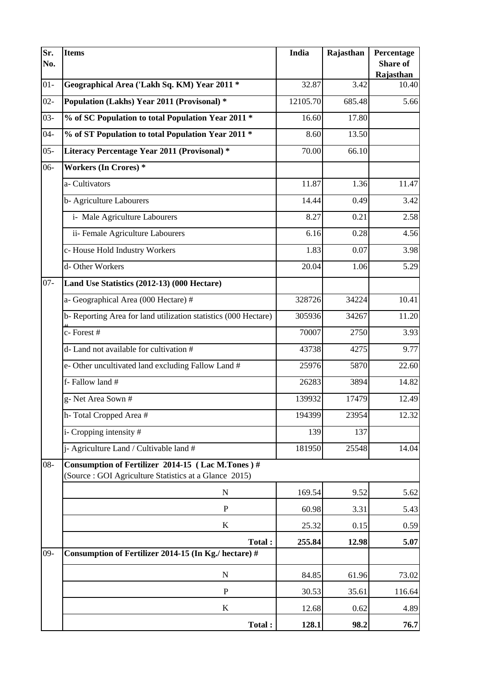| Sr.<br>No. | <b>Items</b>                                                                                              | <b>India</b> | Rajasthan | Percentage<br>Share of<br>Rajasthan |  |  |  |
|------------|-----------------------------------------------------------------------------------------------------------|--------------|-----------|-------------------------------------|--|--|--|
| $01-$      | Geographical Area ('Lakh Sq. KM) Year 2011 *                                                              | 32.87        | 3.42      | 10.40                               |  |  |  |
| $02 -$     | Population (Lakhs) Year 2011 (Provisonal) *                                                               | 12105.70     | 685.48    | 5.66                                |  |  |  |
| $03 -$     | % of SC Population to total Population Year 2011 *                                                        | 16.60        | 17.80     |                                     |  |  |  |
| $04 -$     | % of ST Population to total Population Year 2011 *                                                        | 8.60         | 13.50     |                                     |  |  |  |
| $05 -$     | Literacy Percentage Year 2011 (Provisonal) *                                                              | 70.00        | 66.10     |                                     |  |  |  |
| $06 -$     | <b>Workers (In Crores)*</b>                                                                               |              |           |                                     |  |  |  |
|            | a-Cultivators                                                                                             | 11.87        | 1.36      | 11.47                               |  |  |  |
|            | b-Agriculture Labourers                                                                                   | 14.44        | 0.49      | 3.42                                |  |  |  |
|            | i- Male Agriculture Labourers                                                                             | 8.27         | 0.21      | 2.58                                |  |  |  |
|            | ii- Female Agriculture Labourers                                                                          | 6.16         | 0.28      | 4.56                                |  |  |  |
|            | c-House Hold Industry Workers                                                                             | 1.83         | 0.07      | 3.98                                |  |  |  |
|            | d-Other Workers                                                                                           | 20.04        | 1.06      | 5.29                                |  |  |  |
| $07 -$     | Land Use Statistics (2012-13) (000 Hectare)                                                               |              |           |                                     |  |  |  |
|            | a- Geographical Area (000 Hectare) #                                                                      | 328726       | 34224     | 10.41                               |  |  |  |
|            | b-Reporting Area for land utilization statistics (000 Hectare)                                            | 305936       | 34267     | 11.20                               |  |  |  |
|            | c-Forest#                                                                                                 | 70007        | 2750      | 3.93                                |  |  |  |
|            | d- Land not available for cultivation #                                                                   | 43738        | 4275      | 9.77                                |  |  |  |
|            | e-Other uncultivated land excluding Fallow Land #                                                         | 25976        | 5870      | 22.60                               |  |  |  |
|            | f-Fallow land $#$                                                                                         | 26283        | 3894      | 14.82                               |  |  |  |
|            | g-Net Area Sown #                                                                                         | 139932       | 17479     | 12.49                               |  |  |  |
|            | h-Total Cropped Area #                                                                                    | 194399       | 23954     | 12.32                               |  |  |  |
|            | i- Cropping intensity #                                                                                   | 139          | 137       |                                     |  |  |  |
|            | j- Agriculture Land / Cultivable land #                                                                   | 181950       | 25548     | 14.04                               |  |  |  |
| $08 -$     | Consumption of Fertilizer 2014-15 (Lac M.Tones)#<br>(Source: GOI Agriculture Statistics at a Glance 2015) |              |           |                                     |  |  |  |
|            | ${\bf N}$                                                                                                 | 169.54       | 9.52      | 5.62                                |  |  |  |
|            | ${\bf P}$                                                                                                 | 60.98        | 3.31      | 5.43                                |  |  |  |
|            | $\bf K$                                                                                                   | 25.32        | 0.15      | 0.59                                |  |  |  |
|            | Total:                                                                                                    | 255.84       | 12.98     | 5.07                                |  |  |  |
| $09 -$     | Consumption of Fertilizer 2014-15 (In Kg./ hectare) #                                                     |              |           |                                     |  |  |  |
|            | ${\bf N}$                                                                                                 | 84.85        | 61.96     | 73.02                               |  |  |  |
|            | ${\bf P}$                                                                                                 | 30.53        | 35.61     | 116.64                              |  |  |  |
|            | K                                                                                                         | 12.68        | 0.62      | 4.89                                |  |  |  |
|            | Total :                                                                                                   | 128.1        | 98.2      | 76.7                                |  |  |  |